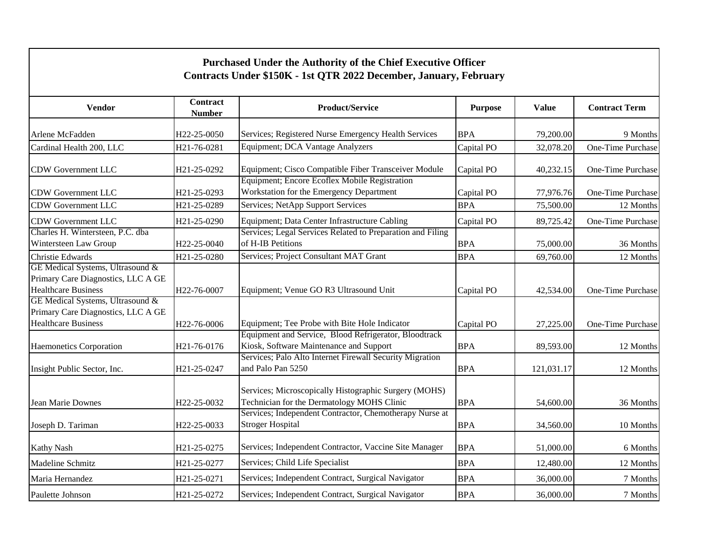| Purchased Under the Authority of the Chief Executive Officer<br>Contracts Under \$150K - 1st QTR 2022 December, January, February |                                  |                                                                                                             |                |              |                      |  |  |  |
|-----------------------------------------------------------------------------------------------------------------------------------|----------------------------------|-------------------------------------------------------------------------------------------------------------|----------------|--------------|----------------------|--|--|--|
| <b>Vendor</b>                                                                                                                     | <b>Contract</b><br><b>Number</b> | <b>Product/Service</b>                                                                                      | <b>Purpose</b> | <b>Value</b> | <b>Contract Term</b> |  |  |  |
| Arlene McFadden                                                                                                                   | H22-25-0050                      | Services; Registered Nurse Emergency Health Services                                                        | <b>BPA</b>     | 79,200.00    | 9 Months             |  |  |  |
| Cardinal Health 200, LLC                                                                                                          | H21-76-0281                      | Equipment; DCA Vantage Analyzers                                                                            | Capital PO     | 32,078.20    | One-Time Purchase    |  |  |  |
| CDW Government LLC                                                                                                                | H21-25-0292                      | Equipment; Cisco Compatible Fiber Transceiver Module<br>Equipment; Encore Ecoflex Mobile Registration       | Capital PO     | 40,232.15    | One-Time Purchase    |  |  |  |
| <b>CDW Government LLC</b>                                                                                                         | H21-25-0293                      | Workstation for the Emergency Department                                                                    | Capital PO     | 77,976.76    | One-Time Purchase    |  |  |  |
| <b>CDW Government LLC</b>                                                                                                         | H21-25-0289                      | Services; NetApp Support Services                                                                           | <b>BPA</b>     | 75,500.00    | 12 Months            |  |  |  |
| CDW Government LLC<br>Charles H. Wintersteen, P.C. dba                                                                            | H21-25-0290                      | Equipment; Data Center Infrastructure Cabling<br>Services; Legal Services Related to Preparation and Filing | Capital PO     | 89,725.42    | One-Time Purchase    |  |  |  |
| Wintersteen Law Group                                                                                                             | H22-25-0040                      | of H-IB Petitions                                                                                           | <b>BPA</b>     | 75,000.00    | 36 Months            |  |  |  |
| Christie Edwards<br>GE Medical Systems, Ultrasound &<br>Primary Care Diagnostics, LLC A GE                                        | H21-25-0280                      | Services; Project Consultant MAT Grant                                                                      | <b>BPA</b>     | 69,760.00    | 12 Months            |  |  |  |
| <b>Healthcare Business</b>                                                                                                        | H22-76-0007                      | Equipment; Venue GO R3 Ultrasound Unit                                                                      | Capital PO     | 42,534.00    | One-Time Purchase    |  |  |  |
| GE Medical Systems, Ultrasound &<br>Primary Care Diagnostics, LLC A GE<br><b>Healthcare Business</b>                              | H22-76-0006                      | Equipment; Tee Probe with Bite Hole Indicator                                                               | Capital PO     | 27,225.00    | One-Time Purchase    |  |  |  |
| Haemonetics Corporation                                                                                                           | H21-76-0176                      | Equipment and Service, Blood Refrigerator, Bloodtrack<br>Kiosk, Software Maintenance and Support            | <b>BPA</b>     | 89,593.00    | 12 Months            |  |  |  |
| Insight Public Sector, Inc.                                                                                                       | H21-25-0247                      | Services; Palo Alto Internet Firewall Security Migration<br>and Palo Pan 5250                               | <b>BPA</b>     | 121,031.17   | 12 Months            |  |  |  |
| Jean Marie Downes                                                                                                                 | H22-25-0032                      | Services; Microscopically Histographic Surgery (MOHS)<br>Technician for the Dermatology MOHS Clinic         | <b>BPA</b>     | 54,600.00    | 36 Months            |  |  |  |
| Joseph D. Tariman                                                                                                                 | H22-25-0033                      | Services; Independent Contractor, Chemotherapy Nurse at<br><b>Stroger Hospital</b>                          | <b>BPA</b>     | 34,560.00    | 10 Months            |  |  |  |
| <b>Kathy Nash</b>                                                                                                                 | H21-25-0275                      | Services; Independent Contractor, Vaccine Site Manager                                                      | <b>BPA</b>     | 51,000.00    | 6 Months             |  |  |  |
| Madeline Schmitz                                                                                                                  | H21-25-0277                      | Services; Child Life Specialist                                                                             | <b>BPA</b>     | 12,480.00    | 12 Months            |  |  |  |
| Maria Hernandez                                                                                                                   | H21-25-0271                      | Services; Independent Contract, Surgical Navigator                                                          | <b>BPA</b>     | 36,000.00    | 7 Months             |  |  |  |
| Paulette Johnson                                                                                                                  | H21-25-0272                      | Services; Independent Contract, Surgical Navigator                                                          | <b>BPA</b>     | 36,000.00    | 7 Months             |  |  |  |